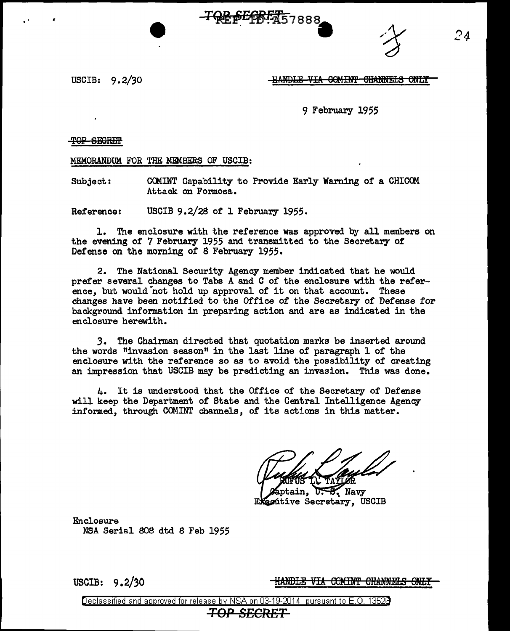SE OF THE 7888



USCIB: 9. 2/30

<u>-HANDLE VIA COMINT CHANNELS ONLY</u>

9 February 1955

TOP SEGREEP

MEMORANDUM FOR THE MEMBERS OF USCIB:

Subject: COMINT Capability to Provide Early Warning of a CHICOM Attack on Formosa.

Reference: USCIB 9.2/28 of 1 February 1955.

1. The enclosure with the reference was approved by all members on the evening of 7 February 1955 and transmitted to the Secretary of Defense on the morning of 8 February 1955.

2. The National Security Agency member indicated that he would prefer several changes to Tabs A and C of the enclosure with the reference, but would not hold up approval of it on that account. These changes have been notified to the Office of the Secretary of Defense for background information in preparing action and are as indicated in the enclosure herewith.

*3.* The Chairman directed that quotation marks be inserted around the words "invasion season" in the last line of paragraph 1 of the enclosure with the reference so as to avoid the possibility of creating an impression that USCIB may be predicting an invasion. This was done.

4. It is understood that the Office of the Secretary of Defense will keep the Department of State and the Central Intelligence Agency informed, through COMINT channels, of its actions in this matter.

 $U - B$ . Navy ptain. ecútive Secretary, USCIB

Enclosure NSA Serial 808 dtd 8 Feb 1955

USCIB: 9.2/30 **HANDLE VIA COMINT CHANNELS ONLY**<br>Declassified and approved for release by NSA on 03-19-2014 pursuant to E.O. 1352B

## *TOP SECRET*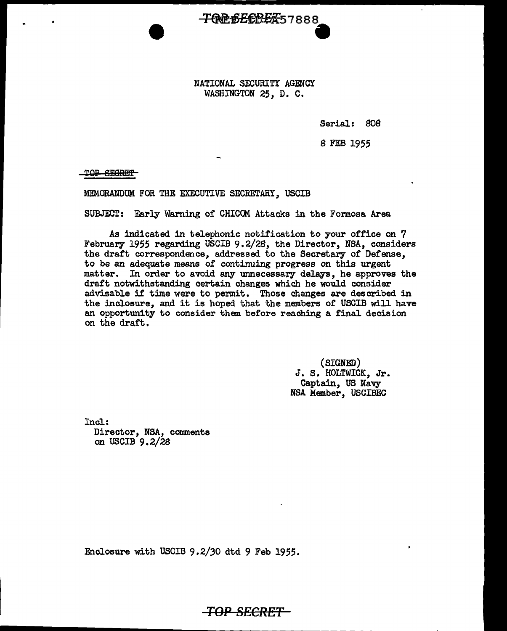NATIONAL SECURITY AGENCY WASHINGTON 25, D. C.

**TOREFERENT**57888

Serial: 808

8 FEB 1955

TOP SEGRET

MEMORANDUM FOR THE EXECUTIVE SECRETARY, USCIB

SUBJECT: Early Warning of CHICOM. Attacks in the Formosa Area

As indicated in telephonic notification to your office on 7 February 1955 regarding USCIB 9.2/28, the Director, NSA, considers the draft correspondence, addressed to the Secretary of Defense, to be an adequate means of continuing progress on this urgent matter. In order to avoid any unnecessary delays, he approves the draft notwithstanding certain changes which he would consider advisable if time were to permit. Those changes are described in the inclosure, and it is hoped that the members of USCIB will have an opportunity to consider them before reaching a final decision on the draft.

> (SIGNED) J. S. HOLTWICK, Jr.<br>Captain, US Navy NSA Member, USCIBEC

Incl: Director, NSA, comments on USCIB 9.2/28

Enclosure with USCIB 9.2/30 dtd 9 Feb 1955.

*TOP* **SECRET**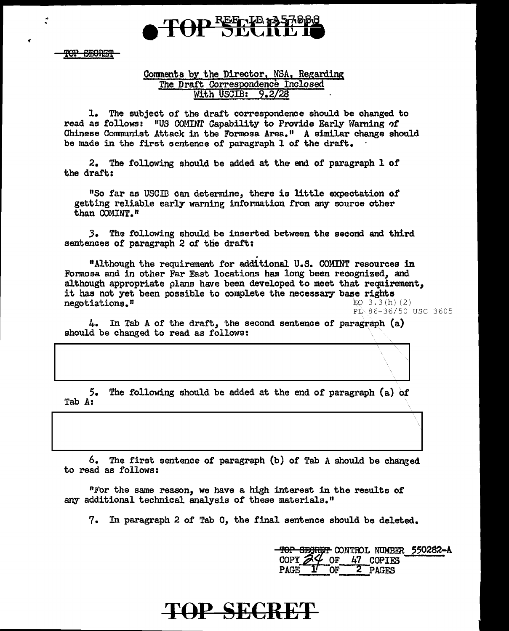

TOP SECRET

.. .

## Comments by the Director, NSA, Regarding; The Draft Correspondence Inclosed With USCIB: 9.2/28

1. The subject of the draft correspondence should be changed to read as follows: "US COMINT Capability to Provide Early Warning of Chinese Communist Attack in the Formosa Area. 11 A similar change should be made in the first sentence of paragraph l of the draft.

2. The following should be added at the end of paragraph l of the draft:

"So far as USCID can determine, there is little expectation *ot*  getting reliable early warning information from any source other than COMINT."

J. The following should be inserted between the second and third sentences of paragraph 2 of the draft:

. "Although the requirement for additional U.S. COMINT resources in Formosa and in other Far East locations has long been recognized, and although appropriate plans have been developed to meet that requirement, it has not yet been possible to complete the necessary base rights negotiations." EQ 3.3(h) (2)  $P_L 86-36/50$  USC 3605

 $4.$  In Tab A of the draft, the second sentence of paragraph (a) should be changed to read as follows:

5. The following should be added at the end of paragraph  $(a)$  of Tab Az

6. The first sentence of paragraph (b) of Tab A should be changed to read as follows:

"For the same reason, we have a high interest in the results of any additional technical analysis of these materials."

7. In paragraph 2 of Tab C, the final sentence should be deleted.

top segreet control number 550282-A COPY  $\frac{24}{9}$  of  $\frac{47}{2}$  copies<br>PAGE  $\frac{17}{9}$  of  $\frac{27}{9}$  pages 2 PAGES

## TOP SECRET